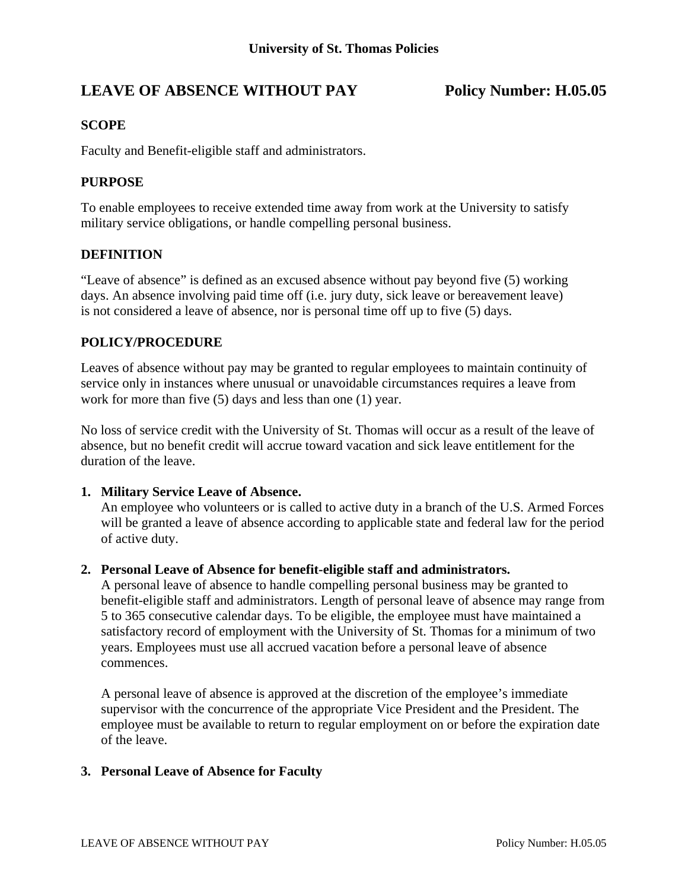# LEAVE OF ABSENCE WITHOUT PAY Policy Number: H.05.05

### **SCOPE**

Faculty and Benefit-eligible staff and administrators.

### **PURPOSE**

To enable employees to receive extended time away from work at the University to satisfy military service obligations, or handle compelling personal business.

#### **DEFINITION**

"Leave of absence" is defined as an excused absence without pay beyond five (5) working days. An absence involving paid time off (i.e. jury duty, sick leave or bereavement leave) is not considered a leave of absence, nor is personal time off up to five (5) days.

#### **POLICY/PROCEDURE**

Leaves of absence without pay may be granted to regular employees to maintain continuity of service only in instances where unusual or unavoidable circumstances requires a leave from work for more than five (5) days and less than one (1) year.

No loss of service credit with the University of St. Thomas will occur as a result of the leave of absence, but no benefit credit will accrue toward vacation and sick leave entitlement for the duration of the leave.

#### **1. Military Service Leave of Absence.**

An employee who volunteers or is called to active duty in a branch of the U.S. Armed Forces will be granted a leave of absence according to applicable state and federal law for the period of active duty.

#### **2. Personal Leave of Absence for benefit-eligible staff and administrators.**

 A personal leave of absence to handle compelling personal business may be granted to benefit-eligible staff and administrators. Length of personal leave of absence may range from 5 to 365 consecutive calendar days. To be eligible, the employee must have maintained a satisfactory record of employment with the University of St. Thomas for a minimum of two years. Employees must use all accrued vacation before a personal leave of absence commences.

 A personal leave of absence is approved at the discretion of the employee's immediate supervisor with the concurrence of the appropriate Vice President and the President. The employee must be available to return to regular employment on or before the expiration date of the leave.

#### **3. Personal Leave of Absence for Faculty**